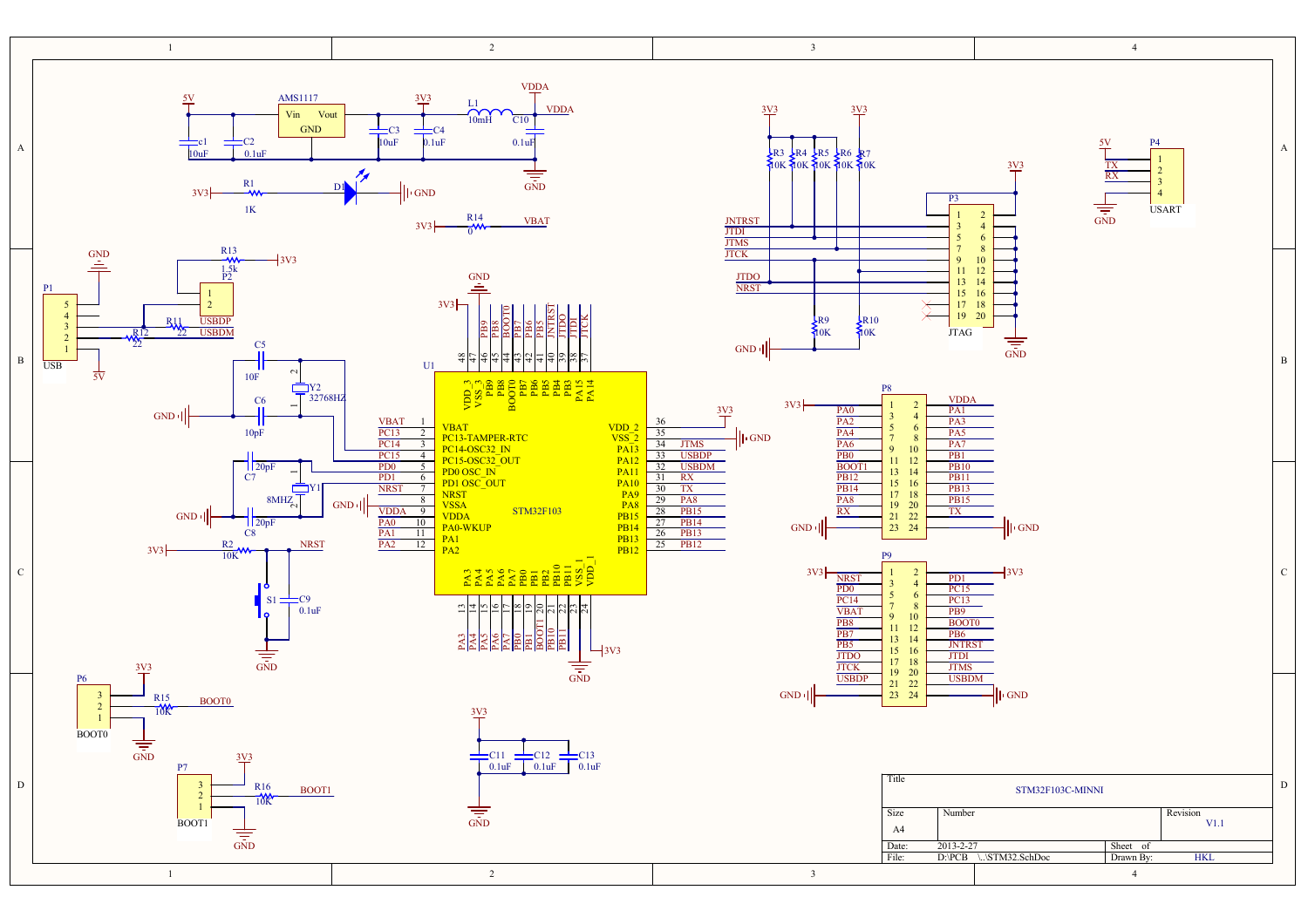